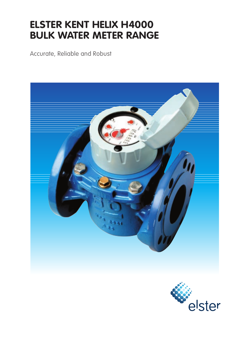# **ELSTER KENT HELIX H4000 BULK WATER METER RANGE**

Accurate, Reliable and Robust



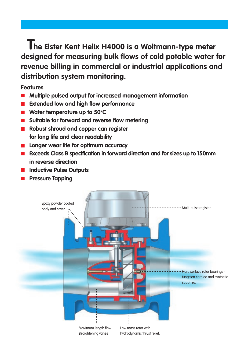**he Elster Kent Helix H4000 is a Woltmann-type meter T designed for measuring bulk flows of cold potable water for revenue billing in commercial or industrial applications and distribution system monitoring.**

**Features**

- **Multiple pulsed output for increased management information**
- **Extended low and high flow performance**
- **Water temperature up to 50°C**
- $\blacksquare$  Suitable for forward and reverse flow metering
- **Robust shroud and copper can register for long life and clear readability**
- **Longer wear life for optimum accuracy**
- **Exceeds Class B specification in forward direction and for sizes up to 150mm in reverse direction**
- **Inductive Pulse Outputs**
- **Pressure Tapping**

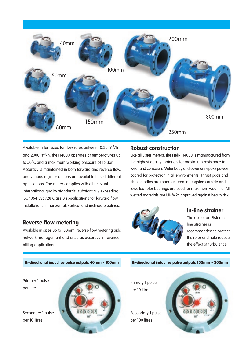

Available in ten sizes for flow rates between 0.35  $\mathsf{m}^3\prime$ h and 2000 m $^3$ /h, the H4000 operates at temperatures up to 50°C and a maximum working pressure of 16 Bar. Accuracy is maintained in both forward and reverse flow, and various register options are available to suit different applications. The meter complies with all relevant international quality standards, substantially exceeding ISO4064 BS5728 Class B specifications for forward flow installations in horizontal, vertical and inclined pipelines.

### **Reverse flow metering**

Available in sizes up to 150mm, reverse flow metering aids network management and ensures accuracy in revenue billing applications.

### **Robust construction**

Like all Elster meters, the Helix H4000 is manufactured from the highest quality materials for maximium resistance to wear and corrosion. Meter body and cover are epoxy powder coated for protection in all environments. Thrust pads and stub spindles are manufactured in tungsten carbide and jewelled rotor bearings are used for maximum wear life. All wetted materials are UK WRc approved against health risk.

**Bi-directional inductive pulse outputs 150mm - 300mm**



### **In-line strainer**

The use of an Elster inline strainer is recommended to protect the rotor and help reduce the effect of turbulence.

**Bi-directional inductive pulse outputs 40mm - 100mm**

Primary 1 pulse per litre

Secondary 1 pulse per 10 litres



Primary 1 pulse per 10 litre

Secondary 1 pulse per 100 litres

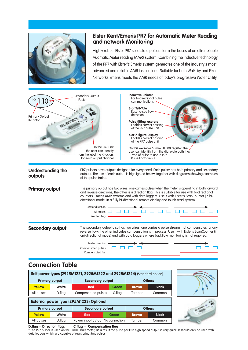

### **Elster Kent/Emeris PR7 for Automatic Meter Reading and network Monitoring**

Highly robust Elster PR7 solid state pulsers form the bases of an ultra reliable Auomatic Meter reading (AMR) system. Combining the inductive technology of the PR7 with Elster's Emeris system generates one of the industry's most advanced and reliable AMR installations. Suitable for both Walk-by and Fixed Networks Emeris meets the AMR needs of today's progressive Water Utility.



## **Connection Table**

| Self power types (2925M1221, 2925M1222 and 2925M1224) (Standard option) |                                         |                                   |              |               |               |  |  |  |  |  |
|-------------------------------------------------------------------------|-----------------------------------------|-----------------------------------|--------------|---------------|---------------|--|--|--|--|--|
|                                                                         | <b>Primary output</b>                   | <b>Secondary output</b>           |              | <b>Others</b> |               |  |  |  |  |  |
| <b>Yellow</b>                                                           | <b>White</b>                            | <b>Red</b>                        | <b>Green</b> | <b>Brown</b>  | <b>Black</b>  |  |  |  |  |  |
| All pulses                                                              | D.flag                                  | Compensated pulses                | C.flag       | Tamper        | Common        |  |  |  |  |  |
|                                                                         | External power type (295M1223) Optional |                                   |              |               |               |  |  |  |  |  |
|                                                                         | <b>Primary output</b>                   | <b>Secondary output</b>           |              |               | <b>Others</b> |  |  |  |  |  |
| <b>Yellow</b>                                                           | <b>White</b>                            | <b>Red</b>                        | <b>Green</b> | <b>Brown</b>  | <b>Black</b>  |  |  |  |  |  |
| All pulses                                                              | D.flag                                  | Power input 3V dc   No connection |              | Tamper        | Common        |  |  |  |  |  |

### **D.flag = Direction flag. C.flag = Compensation flag**

\* The PR7 pulser is used on the H4000 bulk meter, as a result the pulse per litre high speed output is very quick. It should only be used with data loggers which are capable of registering 5ms pulses.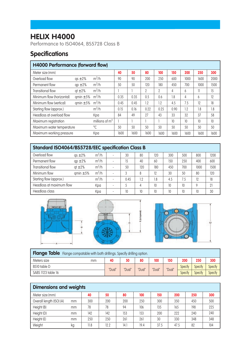## **HELIX H4000**

Performance to ISO4064, BS5728 Class B

## **Specifications**

| <b>H4000 Performance (forward flow)</b>    |               |                  |      |      |                |      |      |      |      |      |  |
|--------------------------------------------|---------------|------------------|------|------|----------------|------|------|------|------|------|--|
| Meter size (mm)                            |               |                  | 40   | 50   | 80             | 100  | 150  | 200  | 250  | 300  |  |
| Overload flow                              | $qs \pm 2\%$  | $m^3/h$          | 90   | 90   | 200            | 250  | 600  | 1000 | 1600 | 2000 |  |
| Permanent flow                             | $qp \pm 2\%$  | $m^3/h$          | 50   | 50   | 120            | 180  | 450  | 700  | 1000 | 1500 |  |
| Transitional flow                          | $qt \pm 2\%$  | $m^3/h$          |      |      | $\overline{2}$ | 2    | 4    | 6    | 11   | 15   |  |
| Minimum flow (horizontal)                  | qmin $\pm$ 5% | $m^3/h$          | 0.35 | 0.35 | 0.5            | 0.6  | 1.8  | 4    | 6    | 12   |  |
| Minimum flow (vertical)                    | qmin $\pm$ 5% | $m^3/h$          | 0.45 | 0.45 | 1.2            | 1.2  | 4.5  | 7.5  | 12   | 18   |  |
| Starting flow (approx.)                    | $m^3/h$       |                  | 0.15 | 0.16 | 0.22           | 0.25 | 0.90 | 1.2  | 1.8  | 1.8  |  |
| Headloss at overload flow                  |               | Kpa              | 84   | 49   | 27             | 43   | 33   | 32   | 37   | 58   |  |
| Maximum registration                       |               | millions of $m3$ |      |      |                |      | 10   | 10   | 10   | 10   |  |
| $\sqrt[0]{C}$<br>Maximum water temperature |               |                  | 50   | 50   | 50             | 50   | 50   | 50   | 50   | 50   |  |
| Maximum working pressure                   |               | Kpa              | 1600 | 1600 | 1600           | 1600 | 1600 | 1600 | 1600 | 1600 |  |

| Standard ISO4064/BS5728/EEC specification Class B |               |         |                          |      |     |     |     |     |      |      |  |
|---------------------------------------------------|---------------|---------|--------------------------|------|-----|-----|-----|-----|------|------|--|
| Overload flow                                     | $as \pm 2\%$  | $m^3/h$ | ۰.                       | 30   | 80  | 120 | 300 | 500 | 800  | 1200 |  |
| Permanent flow                                    | $qp \pm 2\%$  | $m^3/h$ | $\overline{a}$           | 15   | 40  | 60  | 150 | 250 | 400  | 600  |  |
| Transitional flow                                 | $qt \pm 2\%$  | $m^3/h$ | ۰.                       | 50   | 120 | 180 | 450 | 700 | 1000 | 1500 |  |
| Minimum flow                                      | $qmin \pm 5%$ | $m^3/h$ |                          |      | 8   | 12  | 30  | 50  | 80   | 120  |  |
| Starting flow (approx.)                           |               | $m^3/h$ | $\overline{a}$           | 0.45 | 1.2 | 1.8 | 4.5 | 7.5 | 12   | 18   |  |
| Headloss at maximum flow                          |               | Kpa     | $\overline{\phantom{a}}$ |      | 4   | 10  | 10  | 10  | Q    | 21   |  |
| Headloss class                                    |               | Kpa     |                          | 10   | 10  | 10  | 10  | 10  | 10   | 30   |  |





| <b>Flange Table</b> Flange compatable with both drillings. Specify drilling option. |    |        |        |        |        |        |         |                |                |
|-------------------------------------------------------------------------------------|----|--------|--------|--------|--------|--------|---------|----------------|----------------|
| Meters size                                                                         | mm | 40     | 50     | 80     | 100    | 150    | 200     | 250            | 300            |
| BS10 table D                                                                        |    | "Dual" | "Dual" | "Dual" | "Dual" | "Dual" | Specify | Specify        | Specify        |
| SABS 1123 table 16                                                                  |    |        |        |        |        |        | Specify | <b>Specify</b> | <b>Specify</b> |

E Jul speed

| <b>Dimensions and weights</b> |    |      |      |      |      |      |      |     |     |  |  |
|-------------------------------|----|------|------|------|------|------|------|-----|-----|--|--|
| Meter size (mm)               |    | 40   | 50   | 80   | 100  | 150  | 200  | 250 | 300 |  |  |
| Overall length (ISO) (A)      | mm | 300  | 200  | 200  | 250  | 300  | 350  | 450 | 500 |  |  |
| Height (B)                    | mm | 78   | 78   | 94   | 106  | 135  | 165  | 198 | 225 |  |  |
| Height (D)                    | mm | 142  | 142  | 153  | 153  | 200  | 222  | 240 | 240 |  |  |
| Height (E)                    | mm | 250  | 250  | 261  | 261  | 30   | 330  | 348 | 348 |  |  |
| Weight                        | kg | 11.8 | 12.2 | 14.1 | 19.4 | 37.5 | 47.5 | 82  | 104 |  |  |